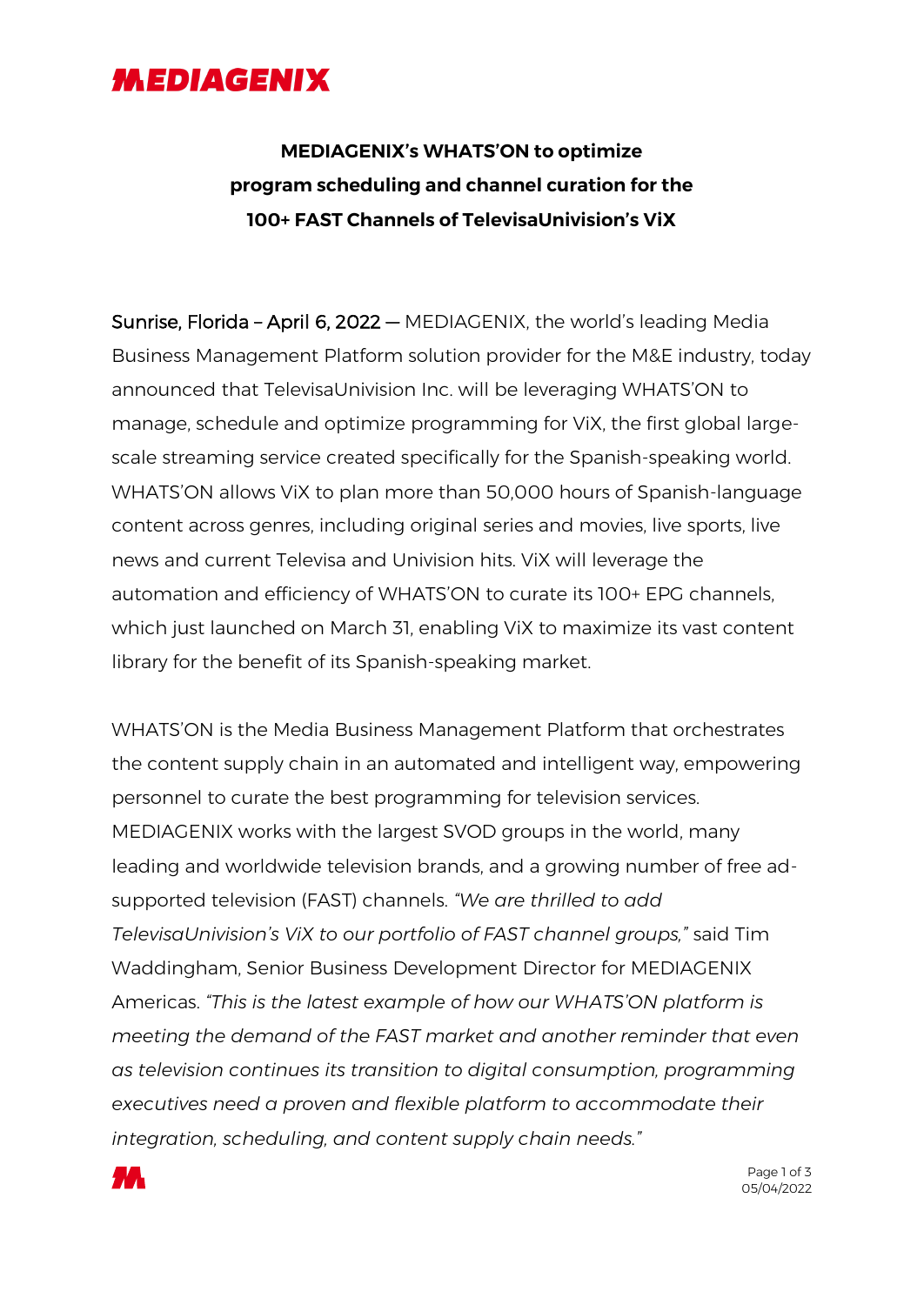## **MEDIAGENIX**

## **MEDIAGENIX's WHATS'ON to optimize program scheduling and channel curation for the 100+ FAST Channels of TelevisaUnivision's ViX**

Sunrise, Florida – April 6, 2022 — MEDIAGENIX, the world's leading Media Business Management Platform solution provider for the M&E industry, today announced that TelevisaUnivision Inc. will be leveraging WHATS'ON to manage, schedule and optimize programming for ViX, the first global largescale streaming service created specifically for the Spanish-speaking world. WHATS'ON allows ViX to plan more than 50,000 hours of Spanish-language content across genres, including original series and movies, live sports, live news and current Televisa and Univision hits. ViX will leverage the automation and efficiency of WHATS'ON to curate its 100+ EPG channels, which just launched on March 31, enabling ViX to maximize its vast content library for the benefit of its Spanish-speaking market.

WHATS'ON is the Media Business Management Platform that orchestrates the content supply chain in an automated and intelligent way, empowering personnel to curate the best programming for television services. MEDIAGENIX works with the largest SVOD groups in the world, many leading and worldwide television brands, and a growing number of free adsupported television (FAST) channels. *"We are thrilled to add TelevisaUnivision's ViX to our portfolio of FAST channel groups,"* said Tim Waddingham, Senior Business Development Director for MEDIAGENIX Americas. *"This is the latest example of how our WHATS'ON platform is meeting the demand of the FAST market and another reminder that even as television continues its transition to digital consumption, programming executives need a proven and flexible platform to accommodate their integration, scheduling, and content supply chain needs."*

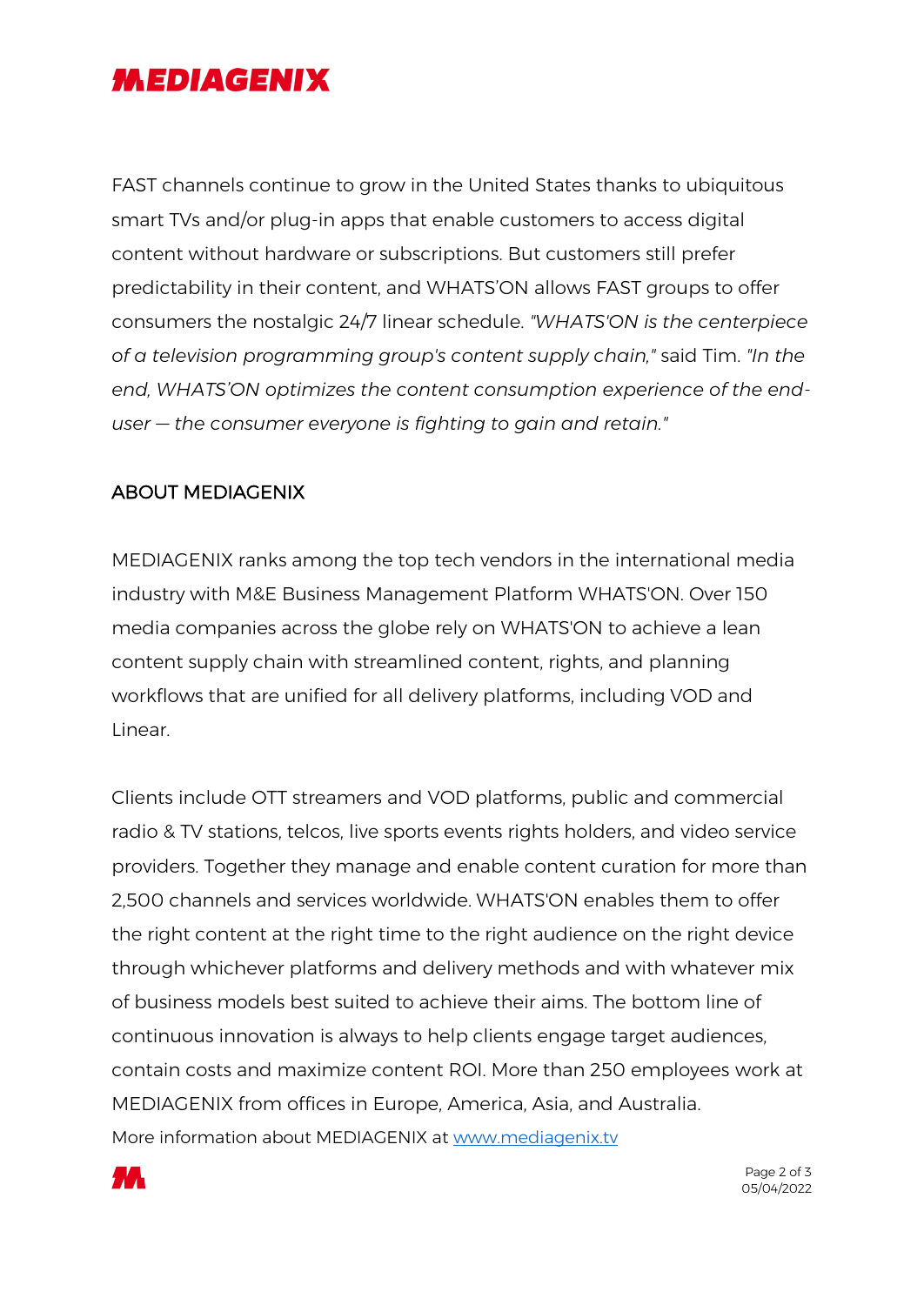## **MEDIAGENIX**

FAST channels continue to grow in the United States thanks to ubiquitous smart TVs and/or plug-in apps that enable customers to access digital content without hardware or subscriptions. But customers still prefer predictability in their content, and WHATS'ON allows FAST groups to offer consumers the nostalgic 24/7 linear schedule. *"WHATS'ON is the centerpiece of a television programming group's content supply chain,"* said Tim. *"In the end, WHATS'ON optimizes the content consumption experience of the enduser — the consumer everyone is fighting to gain and retain."*

## ABOUT MEDIAGENIX

MEDIAGENIX ranks among the top tech vendors in the international media industry with M&E Business Management Platform WHATS'ON. Over 150 media companies across the globe rely on WHATS'ON to achieve a lean content supply chain with streamlined content, rights, and planning workflows that are unified for all delivery platforms, including VOD and Linear.

Clients include OTT streamers and VOD platforms, public and commercial radio & TV stations, telcos, live sports events rights holders, and video service providers. Together they manage and enable content curation for more than 2,500 channels and services worldwide. WHATS'ON enables them to offer the right content at the right time to the right audience on the right device through whichever platforms and delivery methods and with whatever mix of business models best suited to achieve their aims. The bottom line of continuous innovation is always to help clients engage target audiences, contain costs and maximize content ROI. More than 250 employees work at MEDIAGENIX from offices in Europe, America, Asia, and Australia. More information about MEDIAGENIX at www.mediagenix.tv